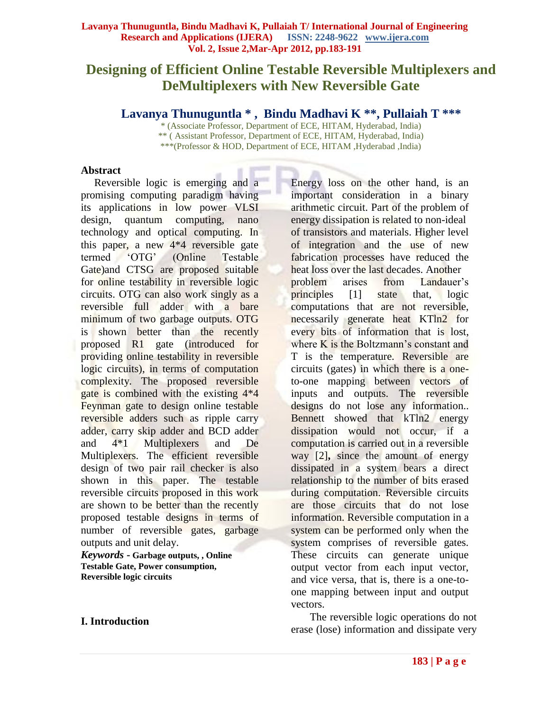# **Designing of Efficient Online Testable Reversible Multiplexers and DeMultiplexers with New Reversible Gate**

**Lavanya Thunuguntla \* , Bindu Madhavi K \*\* , Pullaiah T \*\*\***

\* (Associate Professor, Department of ECE, HITAM, Hyderabad, India) \*\* ( Assistant Professor, Department of ECE, HITAM, Hyderabad, India) \*\*\*(Professor & HOD, Department of ECE, HITAM ,Hyderabad ,India)

#### **Abstract**

 Reversible logic is emerging and a promising computing paradigm having its applications in low power VLSI design, quantum computing, nano technology and optical computing. In this paper, a new 4\*4 reversible gate termed "OTG" (Online Testable Gate)and CTSG are proposed suitable for online testability in reversible logic circuits. OTG can also work singly as a reversible full adder with a bare minimum of two garbage outputs. OTG is shown better than the recently proposed R1 gate (introduced for providing online testability in reversible logic circuits), in terms of computation complexity. The proposed reversible gate is combined with the existing 4\*4 Feynman gate to design online testable reversible adders such as ripple carry adder, carry skip adder and BCD adder and 4\*1 Multiplexers and De Multiplexers. The efficient reversible design of two pair rail checker is also shown in this paper. The testable reversible circuits proposed in this work are shown to be better than the recently proposed testable designs in terms of number of reversible gates, garbage outputs and unit delay.

*Keywords* **- Garbage outputs, , Online Testable Gate, Power consumption, Reversible logic circuits** 

# **I. Introduction**

Energy loss on the other hand, is an important consideration in a binary arithmetic circuit. Part of the problem of energy dissipation is related to non-ideal of transistors and materials. Higher level of integration and the use of new fabrication processes have reduced the heat loss over the last decades. Another problem arises from Landauer's principles [1] state that, logic computations that are not reversible, necessarily generate heat KTln2 for every bits of information that is lost, where K is the Boltzmann's constant and T is the temperature. Reversible are circuits (gates) in which there is a oneto-one mapping between vectors of inputs and outputs. The reversible designs do not lose any information.. Bennett showed that kTln2 energy dissipation would not occur, if a computation is carried out in a reversible way [2]**,** since the amount of energy dissipated in a system bears a direct relationship to the number of bits erased during computation. Reversible circuits are those circuits that do not lose information. Reversible computation in a system can be performed only when the system comprises of reversible gates. These circuits can generate unique output vector from each input vector, and vice versa, that is, there is a one-toone mapping between input and output vectors.

 The reversible logic operations do not erase (lose) information and dissipate very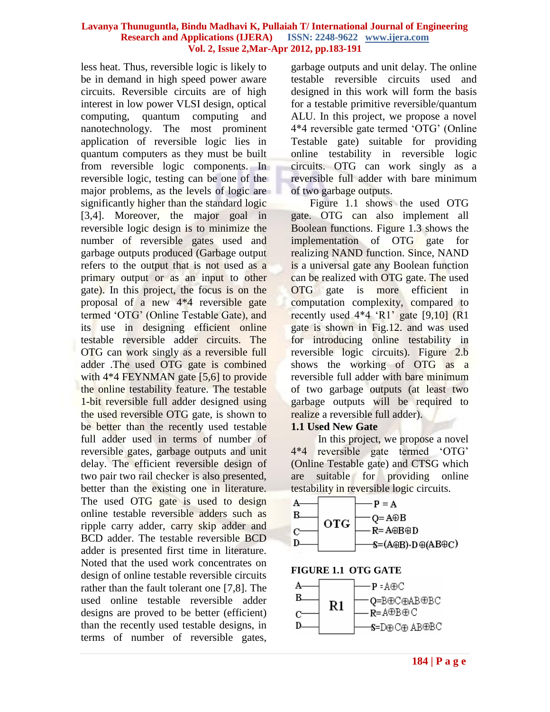less heat. Thus, reversible logic is likely to be in demand in high speed power aware circuits. Reversible circuits are of high interest in low power VLSI design, optical computing, quantum computing and nanotechnology. The most prominent application of reversible logic lies in quantum computers as they must be built from reversible logic components. In reversible logic, testing can be one of the major problems, as the levels of logic are significantly higher than the standard logic [3,4]. Moreover, the major goal in reversible logic design is to minimize the number of reversible gates used and garbage outputs produced (Garbage output refers to the output that is not used as a primary output or as an input to other gate). In this project, the focus is on the proposal of a new 4\*4 reversible gate termed "OTG" (Online Testable Gate), and its use in designing efficient online testable reversible adder circuits. The OTG can work singly as a reversible full adder .The used OTG gate is combined with  $4*4$  FEYNMAN gate [5,6] to provide the online testability feature. The testable 1-bit reversible full adder designed using the used reversible OTG gate, is shown to be better than the recently used testable full adder used in terms of number of reversible gates, garbage outputs and unit delay. The efficient reversible design of two pair two rail checker is also presented, better than the existing one in literature. The used OTG gate is used to design online testable reversible adders such as ripple carry adder, carry skip adder and BCD adder. The testable reversible BCD adder is presented first time in literature. Noted that the used work concentrates on design of online testable reversible circuits rather than the fault tolerant one [7,8]. The used online testable reversible adder designs are proved to be better (efficient) than the recently used testable designs, in terms of number of reversible gates,

garbage outputs and unit delay. The online testable reversible circuits used and designed in this work will form the basis for a testable primitive reversible/quantum ALU. In this project, we propose a novel 4\*4 reversible gate termed "OTG" (Online Testable gate) suitable for providing online testability in reversible logic circuits. OTG can work singly as a reversible full adder with bare minimum of two garbage outputs.

 Figure 1.1 shows the used OTG gate. OTG can also implement all Boolean functions. Figure 1.3 shows the implementation of OTG gate for realizing NAND function. Since, NAND is a universal gate any Boolean function can be realized with OTG gate. The used OTG gate is more efficient in computation complexity, compared to recently used  $4*4$  'R1' gate [9,10] (R1) gate is shown in Fig.12. and was used for introducing online testability in reversible logic circuits). Figure 2.b shows the working of OTG as a reversible full adder with bare minimum of two garbage outputs (at least two garbage outputs will be required to realize a reversible full adder).

# **1.1 Used New Gate**

 In this project, we propose a novel 4\*4 reversible gate termed "OTG" (Online Testable gate) and CTSG which are suitable for providing online testability in reversible logic circuits.



**FIGURE 1.1 OTG GATE**

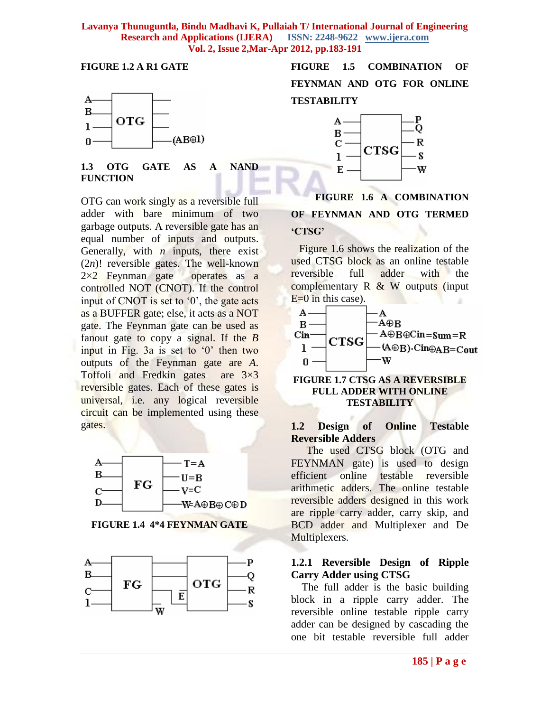#### **FIGURE 1.2 A R1 GATE**



**1.3 OTG GATE AS A NAND FUNCTION**

OTG can work singly as a reversible full adder with bare minimum of two garbage outputs. A reversible gate has an equal number of inputs and outputs. Generally, with *n* inputs, there exist (2*n*)! reversible gates. The well-known  $2\times2$  Feynman gate operates as a controlled NOT (CNOT). If the control input of CNOT is set to  $0$ , the gate acts as a BUFFER gate; else, it acts as a NOT gate. The Feynman gate can be used as fanout gate to copy a signal. If the *B*  input in Fig. 3a is set to '0' then two outputs of the Feynman gate are *A*. Toffoli and Fredkin gates are 3×3 reversible gates. Each of these gates is universal, i.e. any logical reversible circuit can be implemented using these gates.



**FIGURE 1.4 4\*4 FEYNMAN GATE**



**FIGURE 1.5 COMBINATION OF FEYNMAN AND OTG FOR ONLINE TESTABILITY**



 **FIGURE 1.6 A COMBINATION OF FEYNMAN AND OTG TERMED 'CTSG'**

 Figure 1.6 shows the realization of the used CTSG block as an online testable reversible full adder with the complementary R & W outputs (input  $E=0$  in this case).



#### **FIGURE 1.7 CTSG AS A REVERSIBLE FULL ADDER WITH ONLINE TESTABILITY**

### **1.2 Design of Online Testable Reversible Adders**

The used CTSG block (OTG and FEYNMAN gate) is used to design efficient online testable reversible arithmetic adders. The online testable reversible adders designed in this work are ripple carry adder, carry skip, and BCD adder and Multiplexer and De Multiplexers.

### **1.2.1 Reversible Design of Ripple Carry Adder using CTSG**

 The full adder is the basic building block in a ripple carry adder. The reversible online testable ripple carry adder can be designed by cascading the one bit testable reversible full adder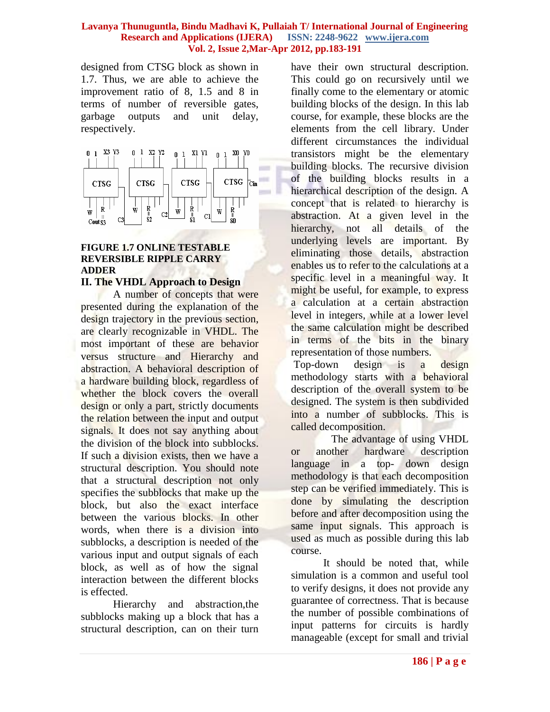designed from CTSG block as shown in 1.7. Thus, we are able to achieve the improvement ratio of 8, 1.5 and 8 in terms of number of reversible gates, garbage outputs and unit delay, respectively.



# **FIGURE 1.7 ONLINE TESTABLE REVERSIBLE RIPPLE CARRY ADDER**

# **II. The VHDL Approach to Design**

A number of concepts that were presented during the explanation of the design trajectory in the previous section, are clearly recognizable in VHDL. The most important of these are behavior versus structure and Hierarchy and abstraction. A behavioral description of a hardware building block, regardless of whether the block covers the overall design or only a part, strictly documents the relation between the input and output signals. It does not say anything about the division of the block into subblocks. If such a division exists, then we have a structural description. You should note that a structural description not only specifies the subblocks that make up the block, but also the exact interface between the various blocks. In other words, when there is a division into subblocks, a description is needed of the various input and output signals of each block, as well as of how the signal interaction between the different blocks is effected.

Hierarchy and abstraction,the subblocks making up a block that has a structural description, can on their turn

have their own structural description. This could go on recursively until we finally come to the elementary or atomic building blocks of the design. In this lab course, for example, these blocks are the elements from the cell library. Under different circumstances the individual transistors might be the elementary building blocks. The recursive division of the building blocks results in a hierarchical description of the design. A concept that is related to hierarchy is abstraction. At a given level in the hierarchy, not all details of the underlying levels are important. By eliminating those details, abstraction enables us to refer to the calculations at a specific level in a meaningful way. It might be useful, for example, to express a calculation at a certain abstraction level in integers, while at a lower level the same calculation might be described in terms of the bits in the binary representation of those numbers.

Top-down design is a design methodology starts with a behavioral description of the overall system to be designed. The system is then subdivided into a number of subblocks. This is called decomposition.

 The advantage of using VHDL or another hardware description language in a top- down design methodology is that each decomposition step can be verified immediately. This is done by simulating the description before and after decomposition using the same input signals. This approach is used as much as possible during this lab course.

It should be noted that, while simulation is a common and useful tool to verify designs, it does not provide any guarantee of correctness. That is because the number of possible combinations of input patterns for circuits is hardly manageable (except for small and trivial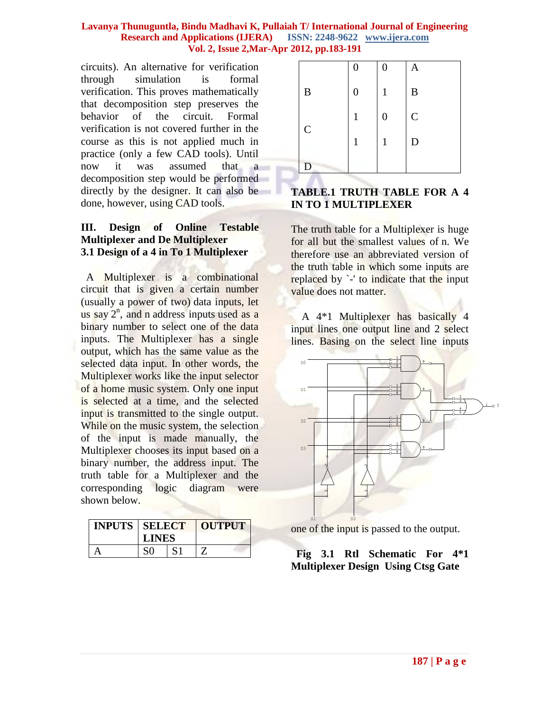circuits). An alternative for verification through simulation is formal verification. This proves mathematically that decomposition step preserves the behavior of the circuit. Formal verification is not covered further in the course as this is not applied much in practice (only a few CAD tools). Until now it was assumed that a decomposition step would be performed directly by the designer. It can also be done, however, using CAD tools.

# **III. Design of Online Testable Multiplexer and De Multiplexer 3.1 Design of a 4 in To 1 Multiplexer**

 A Multiplexer is a combinational circuit that is given a certain number (usually a power of two) data inputs, let us say  $2^n$ , and n address inputs used as a binary number to select one of the data inputs. The Multiplexer has a single output, which has the same value as the selected data input. In other words, the Multiplexer works like the input selector of a home music system. Only one input is selected at a time, and the selected input is transmitted to the single output. While on the music system, the selection of the input is made manually, the Multiplexer chooses its input based on a binary number, the address input. The truth table for a Multiplexer and the corresponding logic diagram were shown below.

| <b>INPUTS   SELECT</b> | <b>LINES</b> | OUTPUT |
|------------------------|--------------|--------|
|                        |              |        |

|             | 0 | $\boldsymbol{0}$ | A           |
|-------------|---|------------------|-------------|
| $\bf{B}$    | 0 | 1                | $\bf{B}$    |
|             |   | $\boldsymbol{0}$ | $\mathsf C$ |
| $\mathbf C$ |   | 1                | D           |
| Ð           |   |                  |             |

# **TABLE.1 TRUTH TABLE FOR A 4 IN TO 1 MULTIPLEXER**

The truth table for a Multiplexer is huge for all but the smallest values of n. We therefore use an abbreviated version of the truth table in which some inputs are replaced by '-' to indicate that the input value does not matter.

 A 4\*1 Multiplexer has basically 4 input lines one output line and 2 select lines. Basing on the select line inputs



one of the input is passed to the output.

# **Fig 3.1 Rtl Schematic For 4\*1 Multiplexer Design Using Ctsg Gate**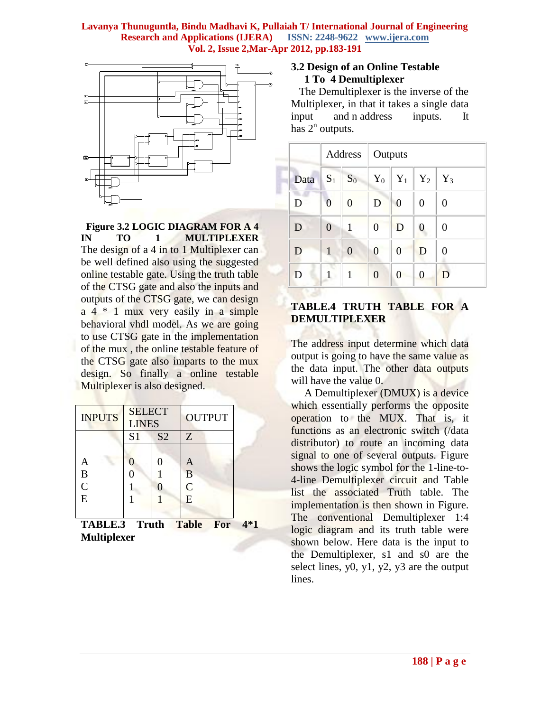

 **Figure 3.2 LOGIC DIAGRAM FOR A 4 IN TO 1 MULTIPLEXER** The design of a 4 in to 1 Multiplexer can be well defined also using the suggested online testable gate. Using the truth table of the CTSG gate and also the inputs and outputs of the CTSG gate, we can design a 4 \* 1 mux very easily in a simple behavioral vhdl model. As we are going to use CTSG gate in the implementation of the mux , the online testable feature of the CTSG gate also imparts to the mux design. So finally a online testable Multiplexer is also designed.

| <b>INPUTS</b>  | <b>SELECT</b><br><b>LINES</b>    |  | <b>OUTPUT</b> |  |
|----------------|----------------------------------|--|---------------|--|
|                | S <sub>2</sub><br>S <sub>1</sub> |  | Z             |  |
|                |                                  |  |               |  |
| A              |                                  |  | A             |  |
| $\frac{B}{C}$  |                                  |  | B             |  |
|                |                                  |  | $\bar{C}$     |  |
| $\overline{E}$ |                                  |  | E             |  |
|                |                                  |  |               |  |

**TABLE.3 Truth Table For 4\*1 Multiplexer**

#### **3.2 Design of an Online Testable 1 To 4 Demultiplexer**

 The Demultiplexer is the inverse of the Multiplexer, in that it takes a single data input and n address inputs. It has  $2^n$  outputs.

|      |                | Address        | Outputs        |                |                |       |
|------|----------------|----------------|----------------|----------------|----------------|-------|
| Data | $S_1$          | $S_0$          | $Y_0$          | $Y_1$          | $Y_2$          | $Y_3$ |
| D    | $\overline{0}$ | $\overline{0}$ | D              | $\overline{0}$ | $\overline{0}$ | 0     |
| D    | $\overline{0}$ | 1              | $\overline{0}$ | D              | 0              | 0     |
| D    | 1              | $\overline{0}$ | $\overline{0}$ | 0              | D              | 0     |
| D    | 1              | 1              | $\overline{0}$ | 0              | 0              | D     |

# **TABLE.4 TRUTH TABLE FOR A DEMULTIPLEXER**

The address input determine which data output is going to have the same value as the data input. The other data outputs will have the value 0.

 A Demultiplexer (DMUX) is a device which essentially performs the opposite operation to the MUX. That is, it functions as an electronic switch (/data distributor) to route an incoming data signal to one of several outputs. Figure shows the logic symbol for the 1-line-to-4-line Demultiplexer circuit and Table list the associated Truth table. The implementation is then shown in Figure. The conventional Demultiplexer 1:4 logic diagram and its truth table were shown below. Here data is the input to the Demultiplexer, s1 and s0 are the select lines,  $y0$ ,  $y1$ ,  $y2$ ,  $y3$  are the output lines.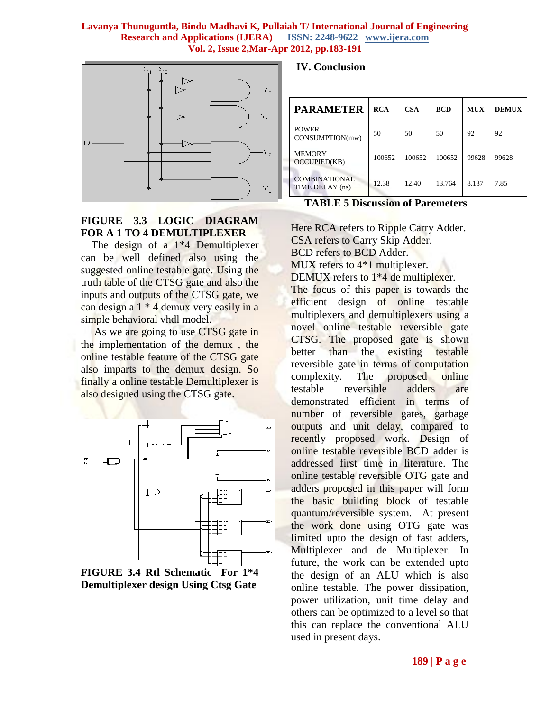

# **FIGURE 3.3 LOGIC DIAGRAM FOR A 1 TO 4 DEMULTIPLEXER**

The design of a  $1*4$  Demultiplexer can be well defined also using the suggested online testable gate. Using the truth table of the CTSG gate and also the inputs and outputs of the CTSG gate, we can design a 1 \* 4 demux very easily in a simple behavioral vhdl model.

As we are going to use CTSG gate in the implementation of the demux , the online testable feature of the CTSG gate also imparts to the demux design. So finally a online testable Demultiplexer is also designed using the CTSG gate.





 **IV. Conclusion**

| <b>PARAMETER</b>                     | <b>RCA</b> | <b>CSA</b> | <b>BCD</b> | <b>MUX</b> | <b>DEMUX</b> |
|--------------------------------------|------------|------------|------------|------------|--------------|
| <b>POWER</b><br>CONSUMPTION(mw)      | 50         | 50         | 50         | 92         | 92           |
| <b>MEMORY</b><br><b>OCCUPIED(KB)</b> | 100652     | 100652     | 100652     | 99628      | 99628        |
| COMBINATIONAL<br>TIME DELAY (ns)     | 12.38      | 12.40      | 13.764     | 8.137      | 7.85         |

**TABLE 5 Discussion of Paremeters**

Here RCA refers to Ripple Carry Adder. CSA refers to Carry Skip Adder. BCD refers to BCD Adder. MUX refers to  $4*1$  multiplexer. DEMUX refers to 1<sup>\*4</sup> de multiplexer. The focus of this paper is towards the efficient design of online testable multiplexers and demultiplexers using a novel online testable reversible gate

CTSG. The proposed gate is shown better than the existing testable reversible gate in terms of computation complexity. The proposed online testable reversible adders are demonstrated efficient in terms of number of reversible gates, garbage outputs and unit delay, compared to recently proposed work. Design of online testable reversible BCD adder is addressed first time in literature. The online testable reversible OTG gate and adders proposed in this paper will form the basic building block of testable quantum/reversible system. At present the work done using OTG gate was limited upto the design of fast adders, Multiplexer and de Multiplexer. In future, the work can be extended upto the design of an ALU which is also online testable. The power dissipation, power utilization, unit time delay and others can be optimized to a level so that this can replace the conventional ALU used in present days.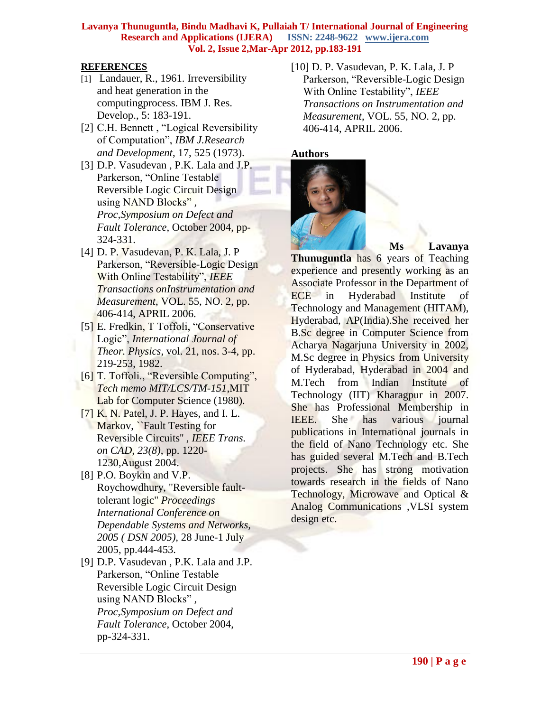# **REFERENCES**

- [1] Landauer, R., 1961. Irreversibility and heat generation in the computingprocess. IBM J. Res. Develop., 5: 183-191.
- [2] C.H. Bennett , "Logical Reversibility of Computation", *IBM J.Research and Development*, 17, 525 (1973).
- [3] D.P. Vasudevan, P.K. Lala and J.P. Parkerson, "Online Testable Reversible Logic Circuit Design using NAND Blocks" *, Proc,Symposium on Defect and Fault Tolerance*, October 2004, pp-324-331.
- [4] D. P. Vasudevan, P. K. Lala, J. P Parkerson, "Reversible-Logic Design With Online Testability", *IEEE Transactions onInstrumentation and Measurement*, VOL. 55, NO. 2, pp. 406-414, APRIL 2006.
- [5] E. Fredkin, T Toffoli, "Conservative" Logic", *International Journal of Theor. Physics*, vol. 21, nos. 3-4, pp. 219-253, 1982.
- [6] T. Toffoli., "Reversible Computing", *Tech memo MIT/LCS/TM-151*,MIT Lab for Computer Science (1980).
- [7] K. N. Patel, J. P. Hayes, and I. L. Markov, ``Fault Testing for Reversible Circuits'' , *IEEE Trans. on CAD, 23(8)*, pp. 1220- 1230,August 2004.
- [8] P.O. Boykin and V.P. Roychowdhury, "Reversible faulttolerant logic" *Proceedings International Conference on Dependable Systems and Networks, 2005 ( DSN 2005),* 28 June-1 July 2005, pp.444-453.
- [9] D.P. Vasudevan , P.K. Lala and J.P. Parkerson, "Online Testable Reversible Logic Circuit Design using NAND Blocks" *, Proc,Symposium on Defect and Fault Tolerance*, October 2004, pp-324-331.

[10] D. P. Vasudevan, P. K. Lala, J. P Parkerson, "Reversible-Logic Design With Online Testability", *IEEE Transactions on Instrumentation and Measurement*, VOL. 55, NO. 2, pp. 406-414, APRIL 2006.



**Ms Lavanya** 

**Thunuguntla** has 6 years of Teaching experience and presently working as an Associate Professor in the Department of ECE in Hyderabad Institute of Technology and Management (HITAM), Hyderabad, AP(India).She received her B.Sc degree in Computer Science from Acharya Nagarjuna University in 2002, M.Sc degree in Physics from University of Hyderabad, Hyderabad in 2004 and M.Tech from Indian Institute of Technology (IIT) Kharagpur in 2007. She has Professional Membership in IEEE. She has various journal publications in International journals in the field of Nano Technology etc. She has guided several M.Tech and B.Tech projects. She has strong motivation towards research in the fields of Nano Technology, Microwave and Optical & Analog Communications ,VLSI system design etc.